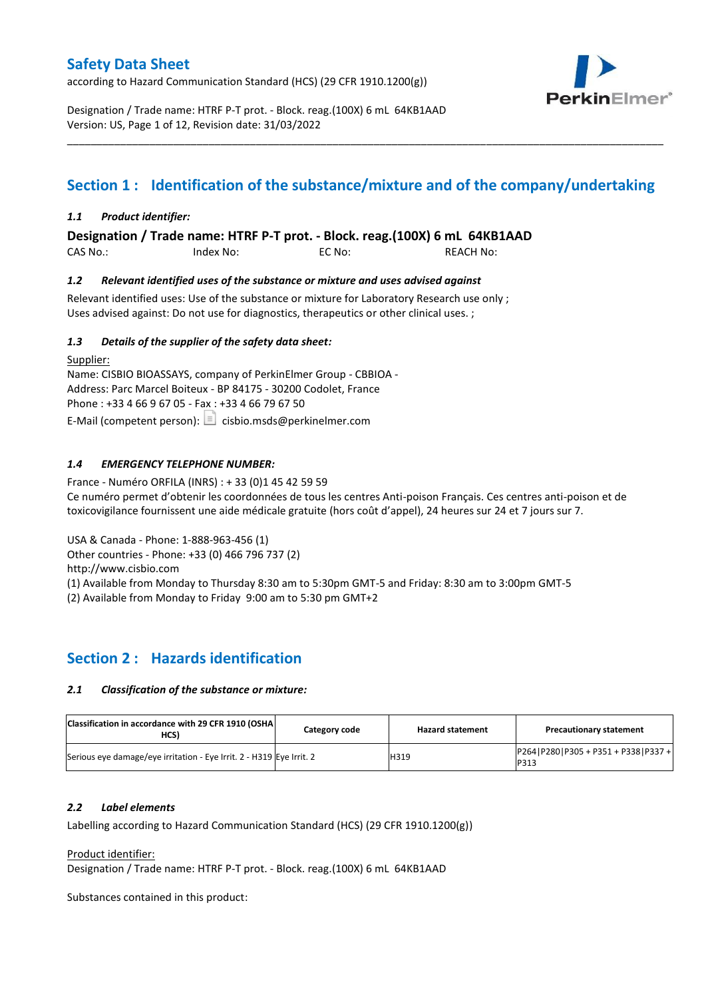according to Hazard Communication Standard (HCS) (29 CFR 1910.1200(g))



Designation / Trade name: HTRF P-T prot. - Block. reag.(100X) 6 mL 64KB1AAD Version: US, Page 1 of 12, Revision date: 31/03/2022

# **Section 1 : Identification of the substance/mixture and of the company/undertaking**

\_\_\_\_\_\_\_\_\_\_\_\_\_\_\_\_\_\_\_\_\_\_\_\_\_\_\_\_\_\_\_\_\_\_\_\_\_\_\_\_\_\_\_\_\_\_\_\_\_\_\_\_\_\_\_\_\_\_\_\_\_\_\_\_\_\_\_\_\_\_\_\_\_\_\_\_\_\_\_\_\_\_\_\_\_\_\_\_\_\_\_\_\_\_\_\_\_\_\_\_\_

### *1.1 Product identifier:*

**Designation / Trade name: HTRF P-T prot. - Block. reag.(100X) 6 mL 64KB1AAD** 

CAS No.: Index No: EC No: REACH No:

### *1.2 Relevant identified uses of the substance or mixture and uses advised against*

Relevant identified uses: Use of the substance or mixture for Laboratory Research use only ; Uses advised against: Do not use for diagnostics, therapeutics or other clinical uses. ;

### *1.3 Details of the supplier of the safety data sheet:*

Supplier: Name: CISBIO BIOASSAYS, company of PerkinElmer Group - CBBIOA - Address: Parc Marcel Boiteux - BP 84175 - 30200 Codolet, France Phone : +33 4 66 9 67 05 - Fax : +33 4 66 79 67 50 E-Mail (competent person):  $\Box$  cisbio.msds@perkinelmer.com

### *1.4 EMERGENCY TELEPHONE NUMBER:*

France - Numéro ORFILA (INRS) : + 33 (0)1 45 42 59 59 Ce numéro permet d'obtenir les coordonnées de tous les centres Anti-poison Français. Ces centres anti-poison et de toxicovigilance fournissent une aide médicale gratuite (hors coût d'appel), 24 heures sur 24 et 7 jours sur 7.

USA & Canada - Phone: 1-888-963-456 (1)

Other countries - Phone: +33 (0) 466 796 737 (2)

http://www.cisbio.com

(1) Available from Monday to Thursday 8:30 am to 5:30pm GMT-5 and Friday: 8:30 am to 3:00pm GMT-5

(2) Available from Monday to Friday 9:00 am to 5:30 pm GMT+2

# **Section 2 : Hazards identification**

### *2.1 Classification of the substance or mixture:*

| Classification in accordance with 29 CFR 1910 (OSHA)<br>HCS)         | Category code | <b>Hazard statement</b> | <b>Precautionary statement</b>           |
|----------------------------------------------------------------------|---------------|-------------------------|------------------------------------------|
| Serious eve damage/eve irritation - Eye Irrit. 2 - H319 Eye Irrit. 2 |               | H319                    | $P264 P280 P305+P351+P338 P337+$<br>P313 |

### *2.2 Label elements*

Labelling according to Hazard Communication Standard (HCS) (29 CFR 1910.1200(g))

#### Product identifier:

Designation / Trade name: HTRF P-T prot. - Block. reag.(100X) 6 mL 64KB1AAD

Substances contained in this product: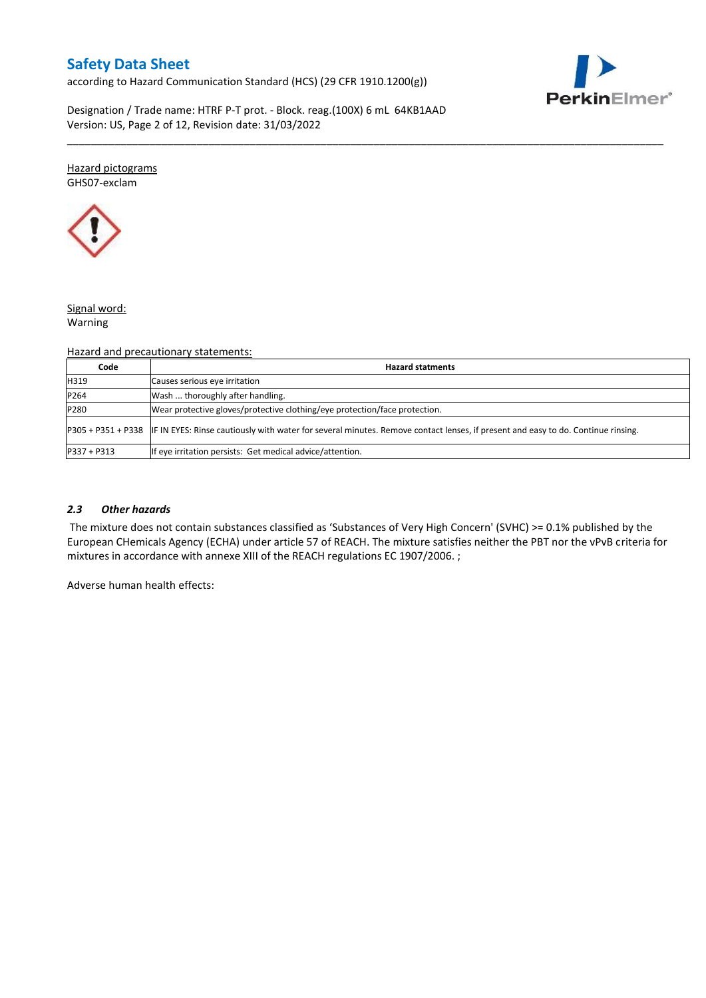according to Hazard Communication Standard (HCS) (29 CFR 1910.1200(g))



Designation / Trade name: HTRF P-T prot. - Block. reag.(100X) 6 mL 64KB1AAD Version: US, Page 2 of 12, Revision date: 31/03/2022

#### Hazard pictograms GHS07-exclam



## Signal word:

Warning

### Hazard and precautionary statements:

| Code          | <b>Hazard statments</b>                                                                                                                             |
|---------------|-----------------------------------------------------------------------------------------------------------------------------------------------------|
| H319          | Causes serious eye irritation                                                                                                                       |
| P264          | Wash  thoroughly after handling.                                                                                                                    |
| P280          | Wear protective gloves/protective clothing/eye protection/face protection.                                                                          |
|               | P305 + P351 + P338 IF IN EYES: Rinse cautiously with water for several minutes. Remove contact lenses, if present and easy to do. Continue rinsing. |
| $P337 + P313$ | If eye irritation persists: Get medical advice/attention.                                                                                           |

\_\_\_\_\_\_\_\_\_\_\_\_\_\_\_\_\_\_\_\_\_\_\_\_\_\_\_\_\_\_\_\_\_\_\_\_\_\_\_\_\_\_\_\_\_\_\_\_\_\_\_\_\_\_\_\_\_\_\_\_\_\_\_\_\_\_\_\_\_\_\_\_\_\_\_\_\_\_\_\_\_\_\_\_\_\_\_\_\_\_\_\_\_\_\_\_\_\_\_\_\_

### *2.3 Other hazards*

The mixture does not contain substances classified as 'Substances of Very High Concern' (SVHC) >= 0.1% published by the European CHemicals Agency (ECHA) under article 57 of REACH. The mixture satisfies neither the PBT nor the vPvB criteria for mixtures in accordance with annexe XIII of the REACH regulations EC 1907/2006. ;

Adverse human health effects: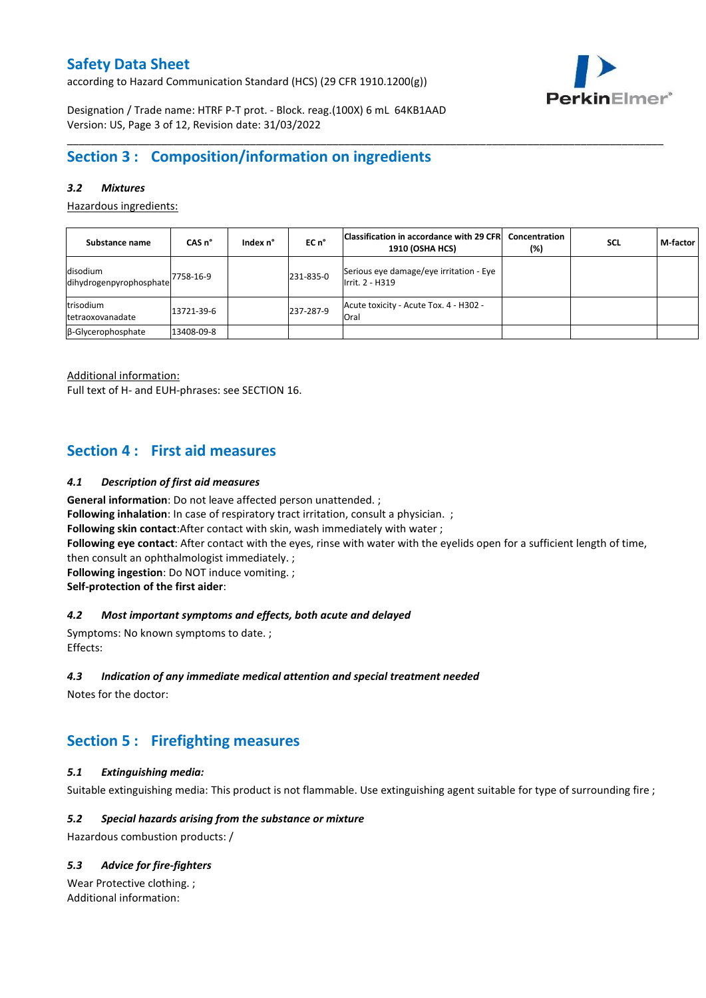according to Hazard Communication Standard (HCS) (29 CFR 1910.1200(g))



Designation / Trade name: HTRF P-T prot. - Block. reag.(100X) 6 mL 64KB1AAD Version: US, Page 3 of 12, Revision date: 31/03/2022

# **Section 3 : Composition/information on ingredients**

### *3.2 Mixtures*

Hazardous ingredients:

| Substance name                        | CAS <sub>n</sub> ° | Index n° | EC n°     | Classification in accordance with 29 CFR<br><b>1910 (OSHA HCS)</b> | Concentration<br>(%) | <b>SCL</b> | M-factor |
|---------------------------------------|--------------------|----------|-----------|--------------------------------------------------------------------|----------------------|------------|----------|
| disodium<br>dihydrogenpyrophosphate   | 7758-16-9          |          | 231-835-0 | Serious eye damage/eye irritation - Eye<br>Irrit. 2 - H319         |                      |            |          |
| trisodium<br><b>Itetraoxovanadate</b> | 13721-39-6         |          | 237-287-9 | Acute toxicity - Acute Tox. 4 - H302 -<br>Oral                     |                      |            |          |
| $\beta$ -Glycerophosphate             | 13408-09-8         |          |           |                                                                    |                      |            |          |

\_\_\_\_\_\_\_\_\_\_\_\_\_\_\_\_\_\_\_\_\_\_\_\_\_\_\_\_\_\_\_\_\_\_\_\_\_\_\_\_\_\_\_\_\_\_\_\_\_\_\_\_\_\_\_\_\_\_\_\_\_\_\_\_\_\_\_\_\_\_\_\_\_\_\_\_\_\_\_\_\_\_\_\_\_\_\_\_\_\_\_\_\_\_\_\_\_\_\_\_\_

Additional information:

Full text of H- and EUH-phrases: see SECTION 16.

## **Section 4 : First aid measures**

#### *4.1 Description of first aid measures*

**General information**: Do not leave affected person unattended. ;

**Following inhalation**: In case of respiratory tract irritation, consult a physician. ;

**Following skin contact**:After contact with skin, wash immediately with water ;

**Following eye contact**: After contact with the eyes, rinse with water with the eyelids open for a sufficient length of time, then consult an ophthalmologist immediately. ;

**Following ingestion**: Do NOT induce vomiting. ;

**Self-protection of the first aider**:

### *4.2 Most important symptoms and effects, both acute and delayed*

Symptoms: No known symptoms to date. ; Effects:

#### *4.3 Indication of any immediate medical attention and special treatment needed*

Notes for the doctor:

# **Section 5 : Firefighting measures**

#### *5.1 Extinguishing media:*

Suitable extinguishing media: This product is not flammable. Use extinguishing agent suitable for type of surrounding fire ;

### *5.2 Special hazards arising from the substance or mixture*

Hazardous combustion products: /

### *5.3 Advice for fire-fighters*

Wear Protective clothing. ; Additional information: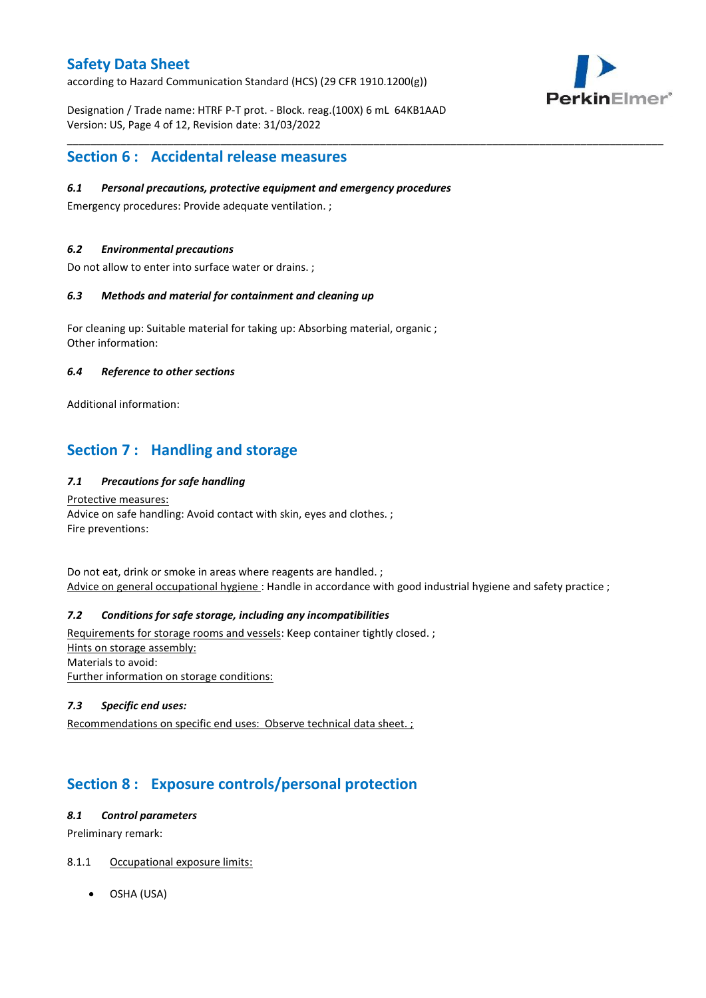according to Hazard Communication Standard (HCS) (29 CFR 1910.1200(g))

Designation / Trade name: HTRF P-T prot. - Block. reag.(100X) 6 mL 64KB1AAD Version: US, Page 4 of 12, Revision date: 31/03/2022

\_\_\_\_\_\_\_\_\_\_\_\_\_\_\_\_\_\_\_\_\_\_\_\_\_\_\_\_\_\_\_\_\_\_\_\_\_\_\_\_\_\_\_\_\_\_\_\_\_\_\_\_\_\_\_\_\_\_\_\_\_\_\_\_\_\_\_\_\_\_\_\_\_\_\_\_\_\_\_\_\_\_\_\_\_\_\_\_\_\_\_\_\_\_\_\_\_\_\_\_\_



# **Section 6 : Accidental release measures**

### *6.1 Personal precautions, protective equipment and emergency procedures*

Emergency procedures: Provide adequate ventilation. ;

### *6.2 Environmental precautions*

Do not allow to enter into surface water or drains. ;

### *6.3 Methods and material for containment and cleaning up*

For cleaning up: Suitable material for taking up: Absorbing material, organic ; Other information:

#### *6.4 Reference to other sections*

Additional information:

# **Section 7 : Handling and storage**

### *7.1 Precautions for safe handling*

Protective measures: Advice on safe handling: Avoid contact with skin, eyes and clothes. ; Fire preventions:

Do not eat, drink or smoke in areas where reagents are handled. ; Advice on general occupational hygiene : Handle in accordance with good industrial hygiene and safety practice ;

### *7.2 Conditions for safe storage, including any incompatibilities*

Requirements for storage rooms and vessels: Keep container tightly closed. ; Hints on storage assembly: Materials to avoid: Further information on storage conditions:

### *7.3 Specific end uses:*

Recommendations on specific end uses: Observe technical data sheet. ;

# **Section 8 : Exposure controls/personal protection**

#### *8.1 Control parameters*

Preliminary remark:

- 8.1.1 Occupational exposure limits:
	- OSHA (USA)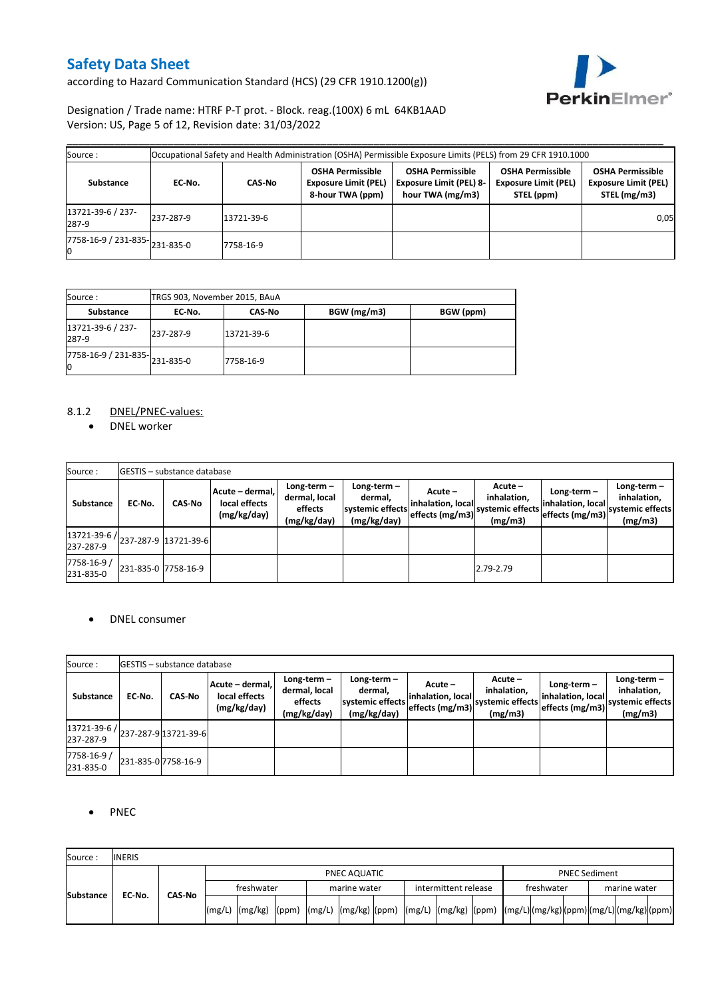according to Hazard Communication Standard (HCS) (29 CFR 1910.1200(g))



### Designation / Trade name: HTRF P-T prot. - Block. reag.(100X) 6 mL 64KB1AAD Version: US, Page 5 of 12, Revision date: 31/03/2022

| Source :                                   |           |            |                                                                            | Occupational Safety and Health Administration (OSHA) Permissible Exposure Limits (PELS) from 29 CFR 1910.1000 |                                                                      |                                                                        |
|--------------------------------------------|-----------|------------|----------------------------------------------------------------------------|---------------------------------------------------------------------------------------------------------------|----------------------------------------------------------------------|------------------------------------------------------------------------|
| Substance                                  | EC-No.    | CAS-No     | <b>OSHA Permissible</b><br><b>Exposure Limit (PEL)</b><br>8-hour TWA (ppm) | <b>OSHA Permissible</b><br><b>Exposure Limit (PEL) 8-</b><br>hour TWA (mg/m3)                                 | <b>OSHA Permissible</b><br><b>Exposure Limit (PEL)</b><br>STEL (ppm) | <b>OSHA Permissible</b><br><b>Exposure Limit (PEL)</b><br>STEL (mg/m3) |
| 13721-39-6 / 237-<br>287-9                 | 237-287-9 | 13721-39-6 |                                                                            |                                                                                                               |                                                                      | 0,05                                                                   |
| $\overline{7758-16-9}$ / 231-835-231-835-0 |           | 7758-16-9  |                                                                            |                                                                                                               |                                                                      |                                                                        |

| Source :                                                 | TRGS 903, November 2015, BAuA |               |             |           |  |  |  |  |  |  |  |
|----------------------------------------------------------|-------------------------------|---------------|-------------|-----------|--|--|--|--|--|--|--|
| Substance                                                | EC-No.                        | <b>CAS-No</b> | BGW (mg/m3) | BGW (ppm) |  |  |  |  |  |  |  |
| 13721-39-6 / 237-<br>287-9                               | 237-287-9                     | 13721-39-6    |             |           |  |  |  |  |  |  |  |
| $\overline{7758-16-9}$ / 231-835- $\big $ 231-835-0<br>Ю |                               | 7758-16-9     |             |           |  |  |  |  |  |  |  |

### 8.1.2 DNEL/PNEC-values:

• DNEL worker

| Source:                                              |                     | <b>IGESTIS - substance database</b> |                                                 |                                                          |                                                           |                                                |                                                         |                                                       |                                                             |
|------------------------------------------------------|---------------------|-------------------------------------|-------------------------------------------------|----------------------------------------------------------|-----------------------------------------------------------|------------------------------------------------|---------------------------------------------------------|-------------------------------------------------------|-------------------------------------------------------------|
| Substance                                            | EC No.              | <b>CAS-No</b>                       | Acute - dermal,<br>local effects<br>(mg/kg/day) | Long-term $-$<br>dermal, local<br>effects<br>(mg/kg/day) | Long-term –<br>dermal.<br>systemic effects<br>(mg/kg/day) | Acute-<br>inhalation, local<br>effects (mg/m3) | $Acute -$<br>inhalation,<br>systemic effects<br>(mg/m3) | Long-term $-$<br>inhalation, local<br>effects (mg/m3) | Long-term $-$<br>inhalation,<br>systemic effects<br>(mg/m3) |
| $ 13721-39-6 $ $ 237-287-9 13721-39-6 $<br>237-287-9 |                     |                                     |                                                 |                                                          |                                                           |                                                |                                                         |                                                       |                                                             |
| 7758-16-9 /<br>231-835-0                             | 231-835-0 7758-16-9 |                                     |                                                 |                                                          |                                                           |                                                | 2.79-2.79                                               |                                                       |                                                             |

### • DNEL consumer

| Source:                                           |        | <b>IGESTIS – substance database</b> |                                                 |                                                          |                                                             |                                                 |                                                       |                                                    |                                                             |
|---------------------------------------------------|--------|-------------------------------------|-------------------------------------------------|----------------------------------------------------------|-------------------------------------------------------------|-------------------------------------------------|-------------------------------------------------------|----------------------------------------------------|-------------------------------------------------------------|
| Substance                                         | EC-No. | <b>CAS-No</b>                       | Acute - dermal,<br>local effects<br>(mg/kg/day) | Long-term $-$<br>dermal, local<br>effects<br>(mg/kg/day) | Long-term $-$<br>dermal,<br>systemic effects<br>(mg/kg/day) | Acute –<br>inhalation, local<br>effects (mg/m3) | Acute -<br>inhalation.<br>systemic effects<br>(mg/m3) | Long-term-<br>inhalation, local<br>effects (mg/m3) | $Long-term -$<br>inhalation,<br>systemic effects<br>(mg/m3) |
| (13721-39-6 / 237-287-9 13721-39-6 )<br>237-287-9 |        |                                     |                                                 |                                                          |                                                             |                                                 |                                                       |                                                    |                                                             |
| 7758-16-9 /<br>231-835-0                          |        | 231-835-0 7758-16-9                 |                                                 |                                                          |                                                             |                                                 |                                                       |                                                    |                                                             |

### • PNEC

| Source:          | <b>INERIS</b> |               |            |                                                                                                                    |  |              |  |  |                      |  |  |                      |  |  |              |  |  |
|------------------|---------------|---------------|------------|--------------------------------------------------------------------------------------------------------------------|--|--------------|--|--|----------------------|--|--|----------------------|--|--|--------------|--|--|
|                  |               |               |            | PNEC AQUATIC                                                                                                       |  |              |  |  |                      |  |  | <b>PNEC Sediment</b> |  |  |              |  |  |
|                  |               |               | freshwater |                                                                                                                    |  | marine water |  |  | intermittent release |  |  | freshwater           |  |  | marine water |  |  |
| <b>Substance</b> | EC-No.        | <b>CAS No</b> |            | [(mg/L) [(mg/kg) [(ppm) [(mg/L) [(mg/kg) [(ppm) [(mg/L) [(mg/kg) [(ppm) [(mg/L)](mg/kg)[(ppm)[(mg/L)](mg/kg)](ppm) |  |              |  |  |                      |  |  |                      |  |  |              |  |  |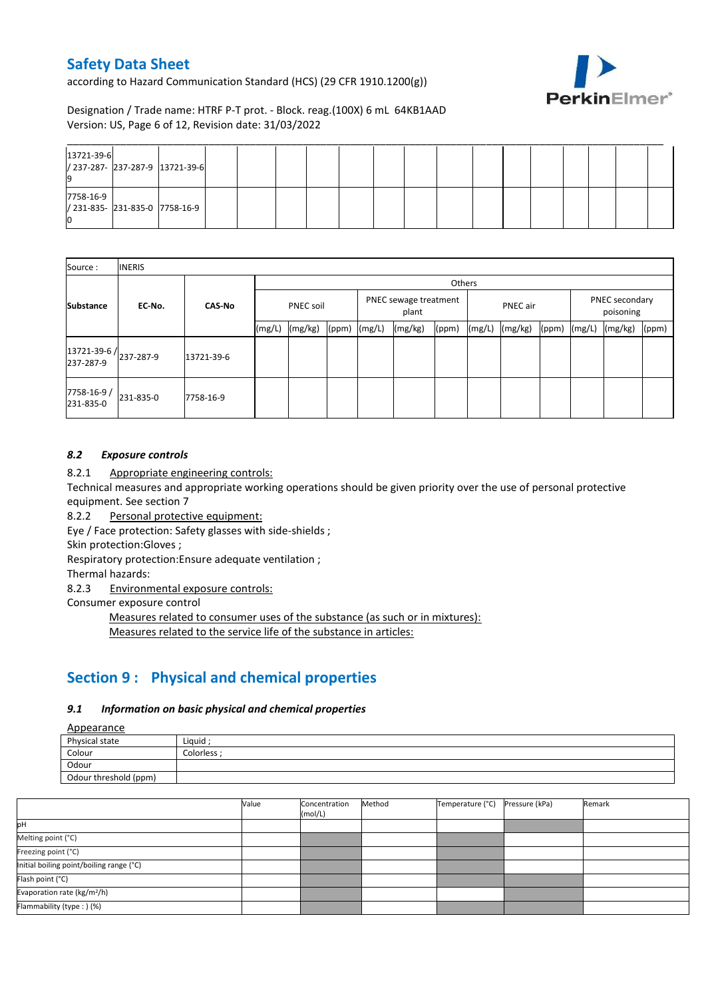according to Hazard Communication Standard (HCS) (29 CFR 1910.1200(g))



Designation / Trade name: HTRF P-T prot. - Block. reag.(100X) 6 mL 64KB1AAD Version: US, Page 6 of 12, Revision date: 31/03/2022

| 13721-39-6 | / 237-287- 237-287-9 13721-39-6 |  |  |  |  |  |  |  |  |
|------------|---------------------------------|--|--|--|--|--|--|--|--|
| 7758-16-9  | / 231-835- 231-835-0 7758-16-9  |  |  |  |  |  |  |  |  |

| Source:                 | <b>INERIS</b>                    |               |                  |         |              |                                |         |       |                 |         |       |                             |         |       |
|-------------------------|----------------------------------|---------------|------------------|---------|--------------|--------------------------------|---------|-------|-----------------|---------|-------|-----------------------------|---------|-------|
|                         |                                  |               | Others           |         |              |                                |         |       |                 |         |       |                             |         |       |
| <b>Substance</b>        | EC-No.                           | <b>CAS-No</b> | <b>PNEC soil</b> |         |              | PNEC sewage treatment<br>plant |         |       | <b>PNEC</b> air |         |       | PNEC secondary<br>poisoning |         |       |
|                         |                                  |               | (mg/L)           | (mg/kg) | (ppm) (mg/L) |                                | (mg/kg) | (ppm) | (mg/L)          | (mg/kg) | (ppm) | (mg/L)                      | (mg/kg) | (ppm) |
| 237-287-9               | 13721-39-6/ <sub>237-287-9</sub> | 13721-39-6    |                  |         |              |                                |         |       |                 |         |       |                             |         |       |
| 7758-16-9/<br>231-835-0 | 231-835-0                        | 7758-16-9     |                  |         |              |                                |         |       |                 |         |       |                             |         |       |

### *8.2 Exposure controls*

8.2.1 Appropriate engineering controls:

Technical measures and appropriate working operations should be given priority over the use of personal protective equipment. See section 7

8.2.2 Personal protective equipment:

Eye / Face protection: Safety glasses with side-shields ;

Skin protection:Gloves ;

Respiratory protection:Ensure adequate ventilation ;

Thermal hazards:

8.2.3 Environmental exposure controls:

Consumer exposure control

Measures related to consumer uses of the substance (as such or in mixtures): Measures related to the service life of the substance in articles:

# **Section 9 : Physical and chemical properties**

### *9.1 Information on basic physical and chemical properties*

Appearance

| Physical state        | Liquid     |
|-----------------------|------------|
| Colour                | Colorless: |
| Odour                 |            |
| Odour threshold (ppm) |            |

|                                          | Value | Concentration<br>(mol/L) | Method | Temperature (°C) | Pressure (kPa) | Remark |
|------------------------------------------|-------|--------------------------|--------|------------------|----------------|--------|
| þН                                       |       |                          |        |                  |                |        |
| Melting point (°C)                       |       |                          |        |                  |                |        |
| Freezing point (°C)                      |       |                          |        |                  |                |        |
| Initial boiling point/boiling range (°C) |       |                          |        |                  |                |        |
| Flash point (°C)                         |       |                          |        |                  |                |        |
| Evaporation rate (kg/m <sup>2</sup> /h)  |       |                          |        |                  |                |        |
| Flammability (type: ) (%)                |       |                          |        |                  |                |        |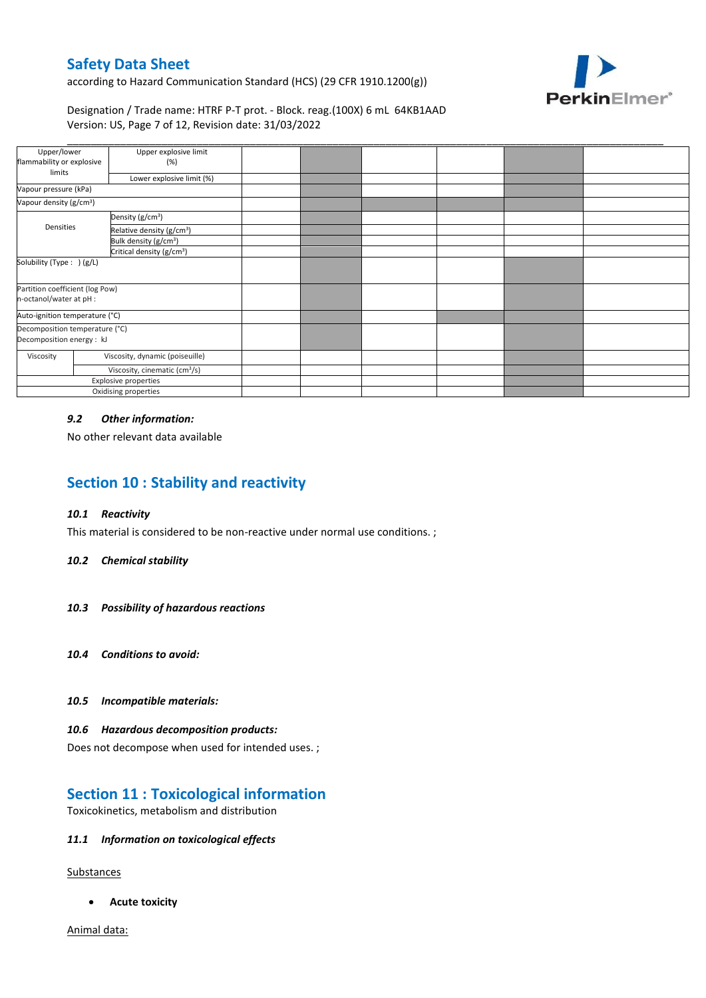according to Hazard Communication Standard (HCS) (29 CFR 1910.1200(g))



### Designation / Trade name: HTRF P-T prot. - Block. reag.(100X) 6 mL 64KB1AAD Version: US, Page 7 of 12, Revision date: 31/03/2022

| Upper/lower                                                | Upper explosive limit                     |  |  |  |
|------------------------------------------------------------|-------------------------------------------|--|--|--|
| flammability or explosive                                  | (%)                                       |  |  |  |
| limits                                                     | Lower explosive limit (%)                 |  |  |  |
| Vapour pressure (kPa)                                      |                                           |  |  |  |
| Vapour density (g/cm <sup>3</sup> )                        |                                           |  |  |  |
|                                                            | Density (g/cm <sup>3</sup> )              |  |  |  |
| Densities                                                  | Relative density (g/cm <sup>3</sup> )     |  |  |  |
|                                                            | Bulk density (g/cm <sup>3</sup> )         |  |  |  |
| Critical density (g/cm <sup>3</sup> )                      |                                           |  |  |  |
| Solubility (Type: ) (g/L)                                  |                                           |  |  |  |
| Partition coefficient (log Pow)<br>n-octanol/water at pH : |                                           |  |  |  |
| Auto-ignition temperature (°C)                             |                                           |  |  |  |
| Decomposition temperature (°C)                             |                                           |  |  |  |
| Decomposition energy : kJ                                  |                                           |  |  |  |
| Viscosity                                                  | Viscosity, dynamic (poiseuille)           |  |  |  |
|                                                            | Viscosity, cinematic (cm <sup>3</sup> /s) |  |  |  |
|                                                            | Explosive properties                      |  |  |  |
|                                                            | Oxidising properties                      |  |  |  |

#### *9.2 Other information:*

No other relevant data available

# **Section 10 : Stability and reactivity**

#### *10.1 Reactivity*

This material is considered to be non-reactive under normal use conditions. ;

#### *10.2 Chemical stability*

- *10.3 Possibility of hazardous reactions*
- *10.4 Conditions to avoid:*

#### *10.5 Incompatible materials:*

#### *10.6 Hazardous decomposition products:*

Does not decompose when used for intended uses. ;

## **Section 11 : Toxicological information**

Toxicokinetics, metabolism and distribution

#### *11.1 Information on toxicological effects*

**Substances** 

**Acute toxicity**

Animal data: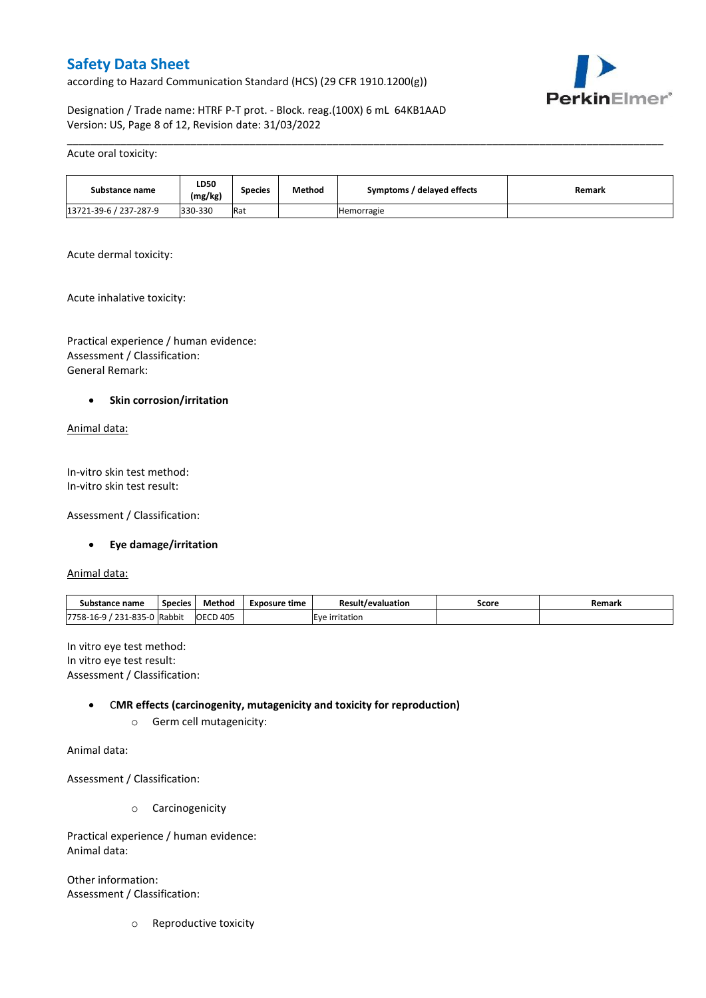according to Hazard Communication Standard (HCS) (29 CFR 1910.1200(g))



Designation / Trade name: HTRF P-T prot. - Block. reag.(100X) 6 mL 64KB1AAD Version: US, Page 8 of 12, Revision date: 31/03/2022

#### Acute oral toxicity:

| Substance name         | <b>LD50</b><br>(mg/kg) | Species | Method | Symptoms / delayed effects | Remark |
|------------------------|------------------------|---------|--------|----------------------------|--------|
| 13721-39-6 / 237-287-9 | 330-330                | Rat     |        | <b>Hemorragie</b>          |        |

\_\_\_\_\_\_\_\_\_\_\_\_\_\_\_\_\_\_\_\_\_\_\_\_\_\_\_\_\_\_\_\_\_\_\_\_\_\_\_\_\_\_\_\_\_\_\_\_\_\_\_\_\_\_\_\_\_\_\_\_\_\_\_\_\_\_\_\_\_\_\_\_\_\_\_\_\_\_\_\_\_\_\_\_\_\_\_\_\_\_\_\_\_\_\_\_\_\_\_\_\_

Acute dermal toxicity:

Acute inhalative toxicity:

Practical experience / human evidence: Assessment / Classification: General Remark:

#### **•** Skin corrosion/irritation

Animal data:

In-vitro skin test method: In-vitro skin test result:

Assessment / Classification:

#### **Eye damage/irritation**

Animal data:

| substance<br>name                           | <b>Species</b> | Method               | Exposure time                  | Result<br>t/evaluation | Score | Remark |
|---------------------------------------------|----------------|----------------------|--------------------------------|------------------------|-------|--------|
| $31 - 835 - 1$<br>7758-16-9<br>221<br>- - - | Rabbit         | D 405<br><b>OECD</b> | ritation<br><b>LVP</b><br>-iri |                        |       |        |

In vitro eye test method: In vitro eye test result: Assessment / Classification:

#### C**MR effects (carcinogenity, mutagenicity and toxicity for reproduction)**

o Germ cell mutagenicity:

Animal data:

Assessment / Classification:

o Carcinogenicity

Practical experience / human evidence: Animal data:

Other information: Assessment / Classification:

o Reproductive toxicity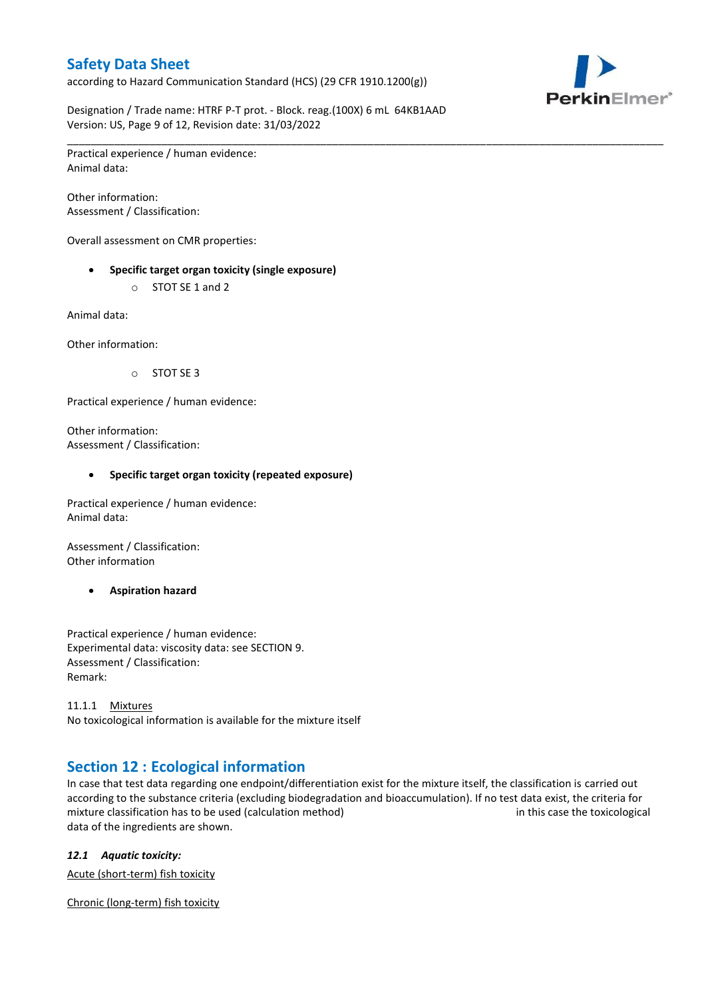according to Hazard Communication Standard (HCS) (29 CFR 1910.1200(g))



Designation / Trade name: HTRF P-T prot. - Block. reag.(100X) 6 mL 64KB1AAD Version: US, Page 9 of 12, Revision date: 31/03/2022

\_\_\_\_\_\_\_\_\_\_\_\_\_\_\_\_\_\_\_\_\_\_\_\_\_\_\_\_\_\_\_\_\_\_\_\_\_\_\_\_\_\_\_\_\_\_\_\_\_\_\_\_\_\_\_\_\_\_\_\_\_\_\_\_\_\_\_\_\_\_\_\_\_\_\_\_\_\_\_\_\_\_\_\_\_\_\_\_\_\_\_\_\_\_\_\_\_\_\_\_\_ Practical experience / human evidence: Animal data:

Other information: Assessment / Classification:

Overall assessment on CMR properties:

- **Specific target organ toxicity (single exposure)**
	- o STOT SE 1 and 2

Animal data:

Other information:

o STOT SE 3

Practical experience / human evidence:

Other information: Assessment / Classification:

#### **Specific target organ toxicity (repeated exposure)**

Practical experience / human evidence: Animal data:

Assessment / Classification: Other information

**Aspiration hazard**

Practical experience / human evidence: Experimental data: viscosity data: see SECTION 9. Assessment / Classification: Remark:

11.1.1 Mixtures No toxicological information is available for the mixture itself

# **Section 12 : Ecological information**

In case that test data regarding one endpoint/differentiation exist for the mixture itself, the classification is carried out according to the substance criteria (excluding biodegradation and bioaccumulation). If no test data exist, the criteria for mixture classification has to be used (calculation method) in this case the toxicological data of the ingredients are shown.

### *12.1 Aquatic toxicity:*

Acute (short-term) fish toxicity

Chronic (long-term) fish toxicity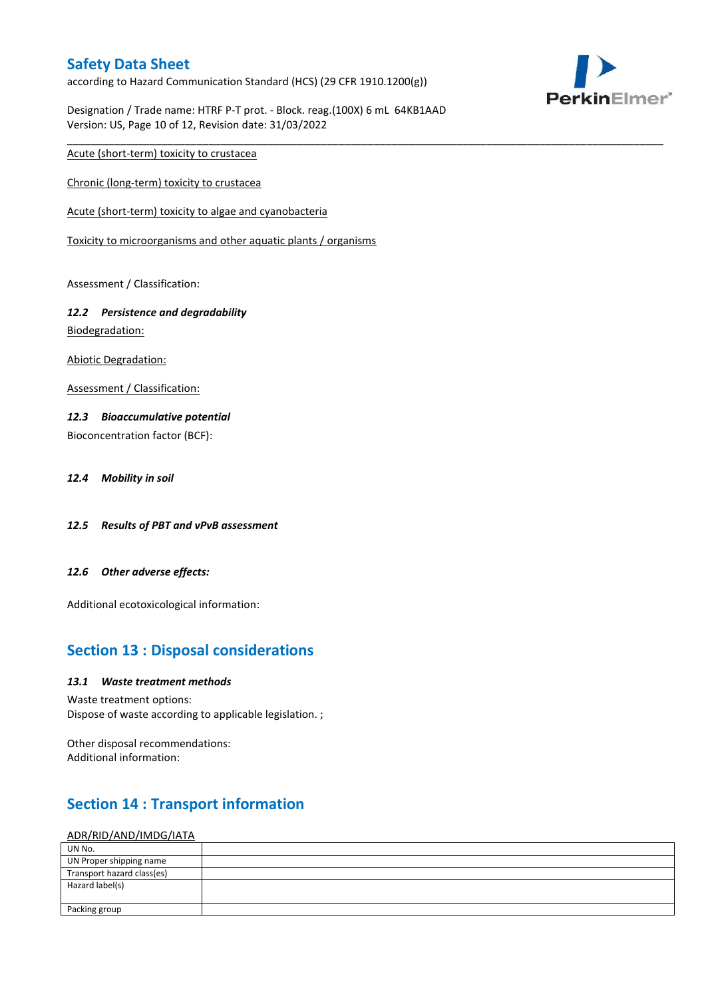according to Hazard Communication Standard (HCS) (29 CFR 1910.1200(g))

Designation / Trade name: HTRF P-T prot. - Block. reag.(100X) 6 mL 64KB1AAD Version: US, Page 10 of 12, Revision date: 31/03/2022

\_\_\_\_\_\_\_\_\_\_\_\_\_\_\_\_\_\_\_\_\_\_\_\_\_\_\_\_\_\_\_\_\_\_\_\_\_\_\_\_\_\_\_\_\_\_\_\_\_\_\_\_\_\_\_\_\_\_\_\_\_\_\_\_\_\_\_\_\_\_\_\_\_\_\_\_\_\_\_\_\_\_\_\_\_\_\_\_\_\_\_\_\_\_\_\_\_\_\_\_\_



Acute (short-term) toxicity to crustacea

Chronic (long-term) toxicity to crustacea

Acute (short-term) toxicity to algae and cyanobacteria

Toxicity to microorganisms and other aquatic plants / organisms

Assessment / Classification:

### *12.2 Persistence and degradability*

Biodegradation:

Abiotic Degradation:

Assessment / Classification:

### *12.3 Bioaccumulative potential*

Bioconcentration factor (BCF):

*12.4 Mobility in soil*

- *12.5 Results of PBT and vPvB assessment*
- *12.6 Other adverse effects:*

Additional ecotoxicological information:

## **Section 13 : Disposal considerations**

#### *13.1 Waste treatment methods*

Waste treatment options: Dispose of waste according to applicable legislation. ;

Other disposal recommendations: Additional information:

# **Section 14 : Transport information**

#### ADR/RID/AND/IMDG/IATA

| UN No.                     |  |
|----------------------------|--|
| UN Proper shipping name    |  |
| Transport hazard class(es) |  |
| Hazard label(s)            |  |
|                            |  |
| Packing group              |  |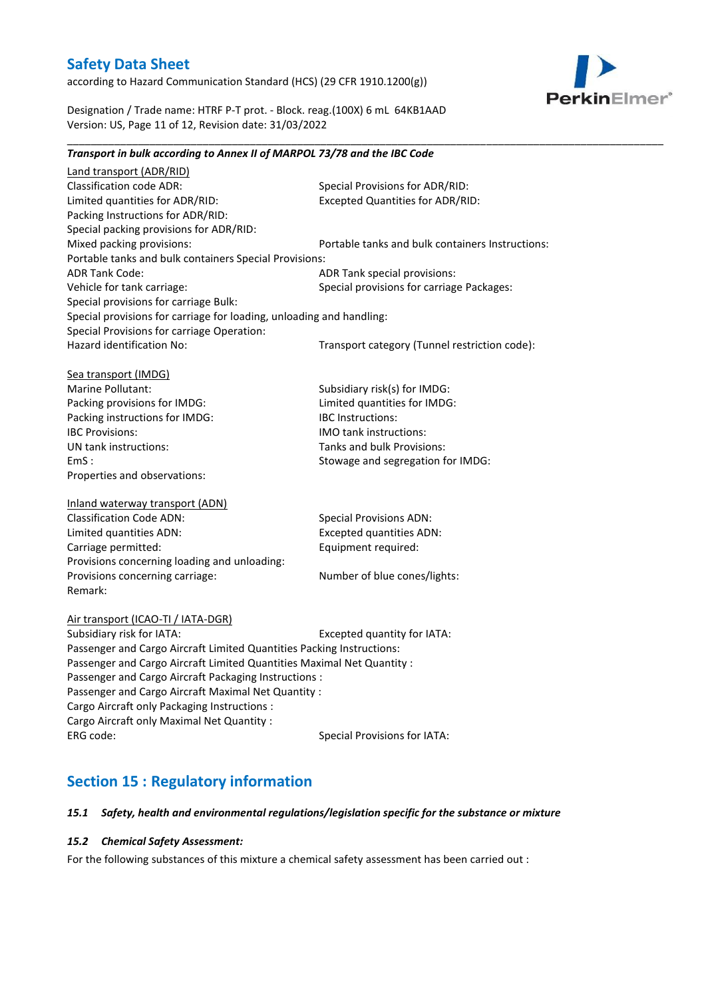according to Hazard Communication Standard (HCS) (29 CFR 1910.1200(g))



Designation / Trade name: HTRF P-T prot. - Block. reag.(100X) 6 mL 64KB1AAD Version: US, Page 11 of 12, Revision date: 31/03/2022

#### \_\_\_\_\_\_\_\_\_\_\_\_\_\_\_\_\_\_\_\_\_\_\_\_\_\_\_\_\_\_\_\_\_\_\_\_\_\_\_\_\_\_\_\_\_\_\_\_\_\_\_\_\_\_\_\_\_\_\_\_\_\_\_\_\_\_\_\_\_\_\_\_\_\_\_\_\_\_\_\_\_\_\_\_\_\_\_\_\_\_\_\_\_\_\_\_\_\_\_\_\_ *Transport in bulk according to Annex II of MARPOL 73/78 and the IBC Code*

Land transport (ADR/RID) Classification code ADR: Special Provisions for ADR/RID:<br>
Limited quantities for ADR/RID: Excepted Quantities for ADR/RI Excepted Quantities for ADR/RID: Packing Instructions for ADR/RID: Special packing provisions for ADR/RID: Mixed packing provisions: Portable tanks and bulk containers Instructions: Portable tanks and bulk containers Special Provisions: ADR Tank Code: ADR Tank special provisions: Vehicle for tank carriage:  $S$  Special provisions for carriage Packages: Special provisions for carriage Bulk: Special provisions for carriage for loading, unloading and handling: Special Provisions for carriage Operation: Hazard identification No: Transport category (Tunnel restriction code): Sea transport (IMDG) Marine Pollutant: Subsidiary risk(s) for IMDG: Packing provisions for IMDG: Limited quantities for IMDG: Packing instructions for IMDG: IBC Instructions: IBC Provisions: IMO tank instructions: UN tank instructions: Tanks and bulk Provisions: EmS : Stowage and segregation for IMDG: Properties and observations: Inland waterway transport (ADN) Classification Code ADN: Special Provisions ADN: Limited quantities ADN: Excepted quantities ADN: Carriage permitted: Carriage permitted: Provisions concerning loading and unloading: Provisions concerning carriage: Number of blue cones/lights: Remark: Air transport (ICAO-TI / IATA-DGR) Subsidiary risk for IATA: Excepted quantity for IATA: Passenger and Cargo Aircraft Limited Quantities Packing Instructions: Passenger and Cargo Aircraft Limited Quantities Maximal Net Quantity : Passenger and Cargo Aircraft Packaging Instructions : Passenger and Cargo Aircraft Maximal Net Quantity : Cargo Aircraft only Packaging Instructions : Cargo Aircraft only Maximal Net Quantity : ERG code: Special Provisions for IATA:

# **Section 15 : Regulatory information**

#### *15.1 Safety, health and environmental regulations/legislation specific for the substance or mixture*

#### *15.2 Chemical Safety Assessment:*

For the following substances of this mixture a chemical safety assessment has been carried out :